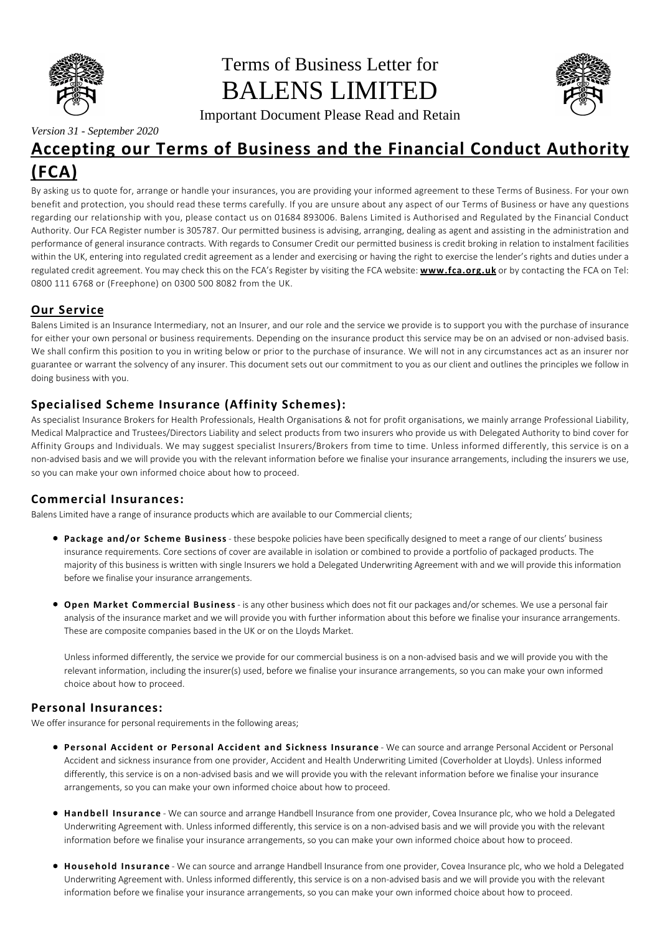

*Version 31 - September 2020*

# Terms of Business Letter for BALENS LIMITED



Important Document Please Read and Retain

# **Accepting our Terms of Business and the Financial Conduct Authority (FCA)**

By asking us to quote for, arrange or handle your insurances, you are providing your informed agreement to these Terms of Business. For your own benefit and protection, you should read these terms carefully. If you are unsure about any aspect of our Terms of Business or have any questions regarding our relationship with you, please contact us on 01684 893006. Balens Limited is Authorised and Regulated by the Financial Conduct Authority. Our FCA Register number is 305787. Our permitted business is advising, arranging, dealing as agent and assisting in the administration and performance of general insurance contracts. With regards to Consumer Credit our permitted business is credit broking in relation to instalment facilities within the UK, entering into regulated credit agreement as a lender and exercising or having the right to exercise the lender's rights and duties under a regulated credit agreement. You may check this on the FCA's Register by visiting the FCA website: **www.fca.org.uk** or by contacting the FCA on Tel: 0800 111 6768 or (Freephone) on 0300 500 8082 from the UK.

# **Our Service**

Balens Limited is an Insurance Intermediary, not an Insurer, and our role and the service we provide is to support you with the purchase of insurance for either your own personal or business requirements. Depending on the insurance product this service may be on an advised or non-advised basis. We shall confirm this position to you in writing below or prior to the purchase of insurance. We will not in any circumstances act as an insurer nor guarantee or warrant the solvency of any insurer. This document sets out our commitment to you as our client and outlines the principles we follow in doing business with you.

# **Specialised Scheme Insurance (Affinity Schemes):**

As specialist Insurance Brokers for Health Professionals, Health Organisations & not for profit organisations, we mainly arrange Professional Liability, Medical Malpractice and Trustees/Directors Liability and select products from two insurers who provide us with Delegated Authority to bind cover for Affinity Groups and Individuals. We may suggest specialist Insurers/Brokers from time to time. Unless informed differently, this service is on a non-advised basis and we will provide you with the relevant information before we finalise your insurance arrangements, including the insurers we use, so you can make your own informed choice about how to proceed.

# **Commercial Insurances:**

Balens Limited have a range of insurance products which are available to our Commercial clients;

- **Package and/or Scheme Business** these bespoke policies have been specifically designed to meet a range of our clients' business insurance requirements. Core sections of cover are available in isolation or combined to provide a portfolio of packaged products. The majority of this business is written with single Insurers we hold a Delegated Underwriting Agreement with and we will provide this information before we finalise your insurance arrangements.
- **Open Market Commercial Business** is any other business which does not fit our packages and/or schemes. We use a personal fair analysis of the insurance market and we will provide you with further information about this before we finalise your insurance arrangements. These are composite companies based in the UK or on the Lloyds Market.

Unless informed differently, the service we provide for our commercial business is on a non-advised basis and we will provide you with the relevant information, including the insurer(s) used, before we finalise your insurance arrangements, so you can make your own informed choice about how to proceed.

# **Personal Insurances:**

We offer insurance for personal requirements in the following areas;

- **Personal Accident or Personal Accident and Sickness Insurance** We can source and arrange Personal Accident or Personal Accident and sickness insurance from one provider, Accident and Health Underwriting Limited (Coverholder at Lloyds). Unless informed differently, this service is on a non-advised basis and we will provide you with the relevant information before we finalise your insurance arrangements, so you can make your own informed choice about how to proceed.
- **Handbell Insurance** We can source and arrange Handbell Insurance from one provider, Covea Insurance plc, who we hold a Delegated Underwriting Agreement with. Unless informed differently, this service is on a non-advised basis and we will provide you with the relevant information before we finalise your insurance arrangements, so you can make your own informed choice about how to proceed.
- **Household Insurance** We can source and arrange Handbell Insurance from one provider, Covea Insurance plc, who we hold a Delegated Underwriting Agreement with. Unless informed differently, this service is on a non-advised basis and we will provide you with the relevant information before we finalise your insurance arrangements, so you can make your own informed choice about how to proceed.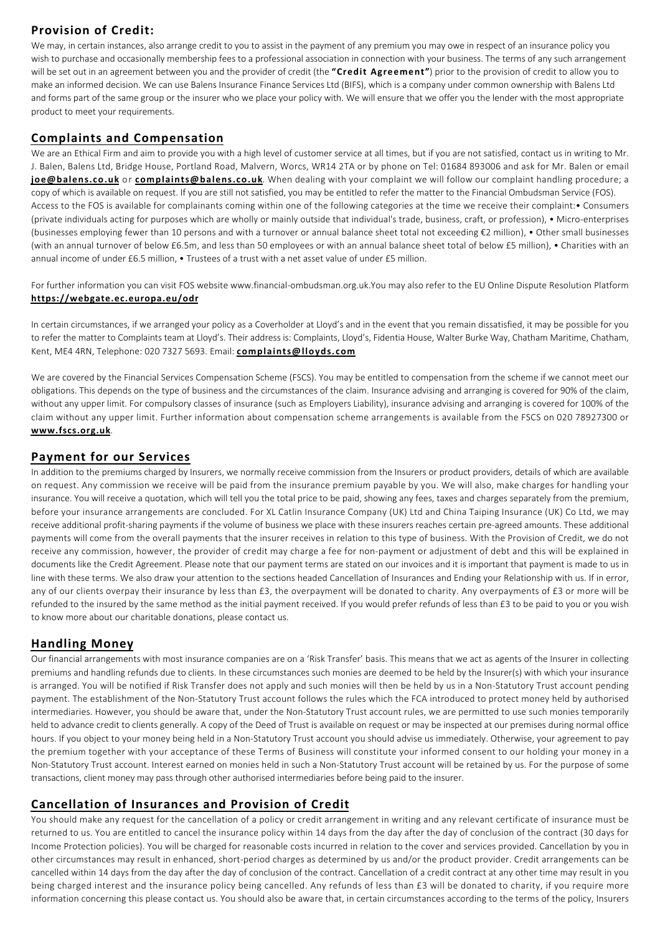# **Provision of Credit:**

We may, in certain instances, also arrange credit to you to assist in the payment of any premium you may owe in respect of an insurance policy you wish to purchase and occasionally membership fees to a professional association in connection with your business. The terms of any such arrangement will be set out in an agreement between you and the provider of credit (the **"Credit Agreement"**) prior to the provision of credit to allow you to make an informed decision. We can use Balens Insurance Finance Services Ltd (BIFS), which is a company under common ownership with Balens Ltd and forms part of the same group or the insurer who we place your policy with. We will ensure that we offer you the lender with the most appropriate product to meet your requirements.

#### **Complaints and Compensation**

We are an Ethical Firm and aim to provide you with a high level of customer service at all times, but if you are not satisfied, contact us in writing to Mr. J. Balen, Balens Ltd, Bridge House, Portland Road, Malvern, Worcs, WR14 2TA or by phone on Tel: 01684 893006 and ask for Mr. Balen or email **joe@balens.co.uk** or **complaints@balens.co.uk**. When dealing with your complaint we will follow our complaint handling procedure; a copy of which is available on request. If you are still not satisfied, you may be entitled to refer the matter to the Financial Ombudsman Service (FOS). Access to the FOS is available for complainants coming within one of the following categories at the time we receive their complaint:• Consumers (private individuals acting for purposes which are wholly or mainly outside that individual's trade, business, craft, or profession), • Micro-enterprises (businesses employing fewer than 10 persons and with a turnover or annual balance sheet total not exceeding €2 million), • Other small businesses (with an annual turnover of below £6.5m, and less than 50 employees or with an annual balance sheet total of below £5 million), • Charities with an annual income of under £6.5 million, • Trustees of a trust with a net asset value of under £5 million.

For further information you can visit FOS website www.financial-ombudsman.org.uk.You may also refer to the EU Online Dispute Resolution Platform **https://webgate.ec.europa.eu/odr**

In certain circumstances, if we arranged your policy as a Coverholder at Lloyd's and in the event that you remain dissatisfied, it may be possible for you to refer the matter to Complaints team at Lloyd's. Their address is: Complaints, Lloyd's, Fidentia House, Walter Burke Way, Chatham Maritime, Chatham, Kent, ME4 4RN, Telephone: 020 7327 5693. Email: **complaints@lloyds.com**

We are covered by the Financial Services Compensation Scheme (FSCS). You may be entitled to compensation from the scheme if we cannot meet our obligations. This depends on the type of business and the circumstances of the claim. Insurance advising and arranging is covered for 90% of the claim, without any upper limit. For compulsory classes of insurance (such as Employers Liability), insurance advising and arranging is covered for 100% of the claim without any upper limit. Further information about compensation scheme arrangements is available from the FSCS on 020 78927300 or **www.fscs.org.uk**.

#### **Payment for our Services**

In addition to the premiums charged by Insurers, we normally receive commission from the Insurers or product providers, details of which are available on request. Any commission we receive will be paid from the insurance premium payable by you. We will also, make charges for handling your insurance. You will receive a quotation, which will tell you the total price to be paid, showing any fees, taxes and charges separately from the premium, before your insurance arrangements are concluded. For XL Catlin Insurance Company (UK) Ltd and China Taiping Insurance (UK) Co Ltd, we may receive additional profit-sharing payments if the volume of business we place with these insurers reaches certain pre-agreed amounts. These additional payments will come from the overall payments that the insurer receives in relation to this type of business. With the Provision of Credit, we do not receive any commission, however, the provider of credit may charge a fee for non-payment or adjustment of debt and this will be explained in documents like the Credit Agreement. Please note that our payment terms are stated on our invoices and it is important that payment is made to us in line with these terms. We also draw your attention to the sections headed Cancellation of Insurances and Ending your Relationship with us. If in error, any of our clients overpay their insurance by less than £3, the overpayment will be donated to charity. Any overpayments of £3 or more will be refunded to the insured by the same method as the initial payment received. If you would prefer refunds of less than £3 to be paid to you or you wish to know more about our charitable donations, please contact us.

#### **Handling Money**

Our financial arrangements with most insurance companies are on a 'Risk Transfer' basis. This means that we act as agents of the Insurer in collecting premiums and handling refunds due to clients. In these circumstances such monies are deemed to be held by the Insurer(s) with which your insurance is arranged. You will be notified if Risk Transfer does not apply and such monies will then be held by us in a Non-Statutory Trust account pending payment. The establishment of the Non-Statutory Trust account follows the rules which the FCA introduced to protect money held by authorised intermediaries. However, you should be aware that, under the Non-Statutory Trust account rules, we are permitted to use such monies temporarily held to advance credit to clients generally. A copy of the Deed of Trust is available on request or may be inspected at our premises during normal office hours. If you object to your money being held in a Non-Statutory Trust account you should advise us immediately. Otherwise, your agreement to pay the premium together with your acceptance of these Terms of Business will constitute your informed consent to our holding your money in a Non-Statutory Trust account. Interest earned on monies held in such a Non-Statutory Trust account will be retained by us. For the purpose of some transactions, client money may pass through other authorised intermediaries before being paid to the insurer.

#### **Cancellation of Insurances and Provision of Credit**

You should make any request for the cancellation of a policy or credit arrangement in writing and any relevant certificate of insurance must be returned to us. You are entitled to cancel the insurance policy within 14 days from the day after the day of conclusion of the contract (30 days for Income Protection policies). You will be charged for reasonable costs incurred in relation to the cover and services provided. Cancellation by you in other circumstances may result in enhanced, short-period charges as determined by us and/or the product provider. Credit arrangements can be cancelled within 14 days from the day after the day of conclusion of the contract. Cancellation of a credit contract at any other time may result in you being charged interest and the insurance policy being cancelled. Any refunds of less than £3 will be donated to charity, if you require more information concerning this please contact us. You should also be aware that, in certain circumstances according to the terms of the policy, Insurers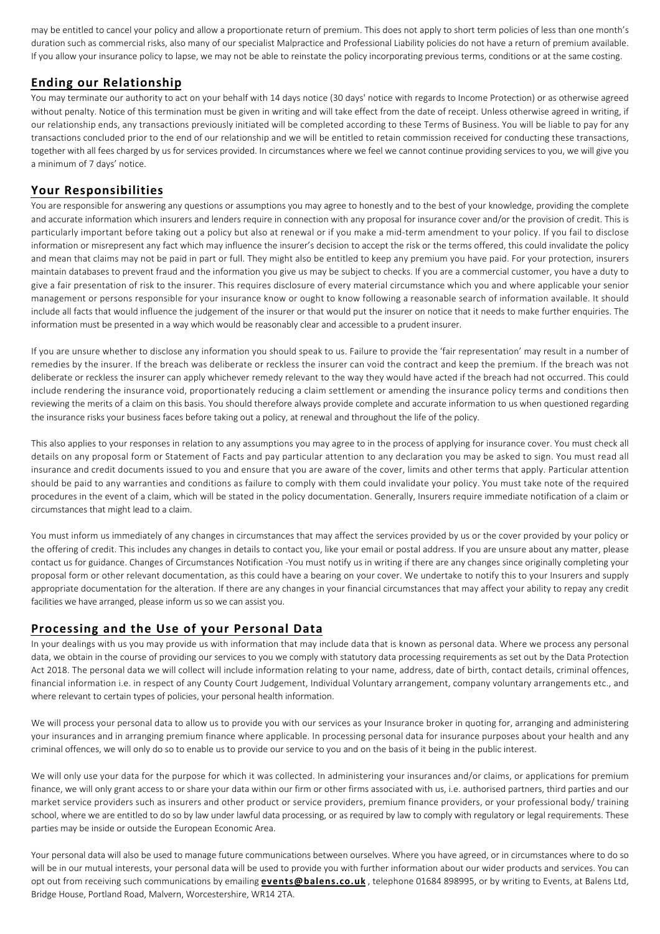may be entitled to cancel your policy and allow a proportionate return of premium. This does not apply to short term policies of less than one month's duration such as commercial risks, also many of our specialist Malpractice and Professional Liability policies do not have a return of premium available. If you allow your insurance policy to lapse, we may not be able to reinstate the policy incorporating previous terms, conditions or at the same costing.

#### **Ending our Relationship**

You may terminate our authority to act on your behalf with 14 days notice (30 days' notice with regards to Income Protection) or as otherwise agreed without penalty. Notice of this termination must be given in writing and will take effect from the date of receipt. Unless otherwise agreed in writing, if our relationship ends, any transactions previously initiated will be completed according to these Terms of Business. You will be liable to pay for any transactions concluded prior to the end of our relationship and we will be entitled to retain commission received for conducting these transactions, together with all fees charged by us for services provided. In circumstances where we feel we cannot continue providing services to you, we will give you a minimum of 7 days' notice.

#### **Your Responsibilities**

You are responsible for answering any questions or assumptions you may agree to honestly and to the best of your knowledge, providing the complete and accurate information which insurers and lenders require in connection with any proposal for insurance cover and/or the provision of credit. This is particularly important before taking out a policy but also at renewal or if you make a mid-term amendment to your policy. If you fail to disclose information or misrepresent any fact which may influence the insurer's decision to accept the risk or the terms offered, this could invalidate the policy and mean that claims may not be paid in part or full. They might also be entitled to keep any premium you have paid. For your protection, insurers maintain databases to prevent fraud and the information you give us may be subject to checks. If you are a commercial customer, you have a duty to give a fair presentation of risk to the insurer. This requires disclosure of every material circumstance which you and where applicable your senior management or persons responsible for your insurance know or ought to know following a reasonable search of information available. It should include all facts that would influence the judgement of the insurer or that would put the insurer on notice that it needs to make further enquiries. The information must be presented in a way which would be reasonably clear and accessible to a prudent insurer.

If you are unsure whether to disclose any information you should speak to us. Failure to provide the 'fair representation' may result in a number of remedies by the insurer. If the breach was deliberate or reckless the insurer can void the contract and keep the premium. If the breach was not deliberate or reckless the insurer can apply whichever remedy relevant to the way they would have acted if the breach had not occurred. This could include rendering the insurance void, proportionately reducing a claim settlement or amending the insurance policy terms and conditions then reviewing the merits of a claim on this basis. You should therefore always provide complete and accurate information to us when questioned regarding the insurance risks your business faces before taking out a policy, at renewal and throughout the life of the policy.

This also applies to your responses in relation to any assumptions you may agree to in the process of applying for insurance cover. You must check all details on any proposal form or Statement of Facts and pay particular attention to any declaration you may be asked to sign. You must read all insurance and credit documents issued to you and ensure that you are aware of the cover, limits and other terms that apply. Particular attention should be paid to any warranties and conditions as failure to comply with them could invalidate your policy. You must take note of the required procedures in the event of a claim, which will be stated in the policy documentation. Generally, Insurers require immediate notification of a claim or circumstances that might lead to a claim.

You must inform us immediately of any changes in circumstances that may affect the services provided by us or the cover provided by your policy or the offering of credit. This includes any changes in details to contact you, like your email or postal address. If you are unsure about any matter, please contact us for guidance. Changes of Circumstances Notification -You must notify us in writing if there are any changes since originally completing your proposal form or other relevant documentation, as this could have a bearing on your cover. We undertake to notify this to your Insurers and supply appropriate documentation for the alteration. If there are any changes in your financial circumstances that may affect your ability to repay any credit facilities we have arranged, please inform us so we can assist you.

#### **Processing and the Use of your Personal Data**

In your dealings with us you may provide us with information that may include data that is known as personal data. Where we process any personal data, we obtain in the course of providing our services to you we comply with statutory data processing requirements as set out by the Data Protection Act 2018. The personal data we will collect will include information relating to your name, address, date of birth, contact details, criminal offences, financial information i.e. in respect of any County Court Judgement, Individual Voluntary arrangement, company voluntary arrangements etc., and where relevant to certain types of policies, your personal health information.

We will process your personal data to allow us to provide you with our services as your Insurance broker in quoting for, arranging and administering your insurances and in arranging premium finance where applicable. In processing personal data for insurance purposes about your health and any criminal offences, we will only do so to enable us to provide our service to you and on the basis of it being in the public interest.

We will only use your data for the purpose for which it was collected. In administering your insurances and/or claims, or applications for premium finance, we will only grant access to or share your data within our firm or other firms associated with us, i.e. authorised partners, third parties and our market service providers such as insurers and other product or service providers, premium finance providers, or your professional body/ training school, where we are entitled to do so by law under lawful data processing, or as required by law to comply with regulatory or legal requirements. These parties may be inside or outside the European Economic Area.

Your personal data will also be used to manage future communications between ourselves. Where you have agreed, or in circumstances where to do so will be in our mutual interests, your personal data will be used to provide you with further information about our wider products and services. You can opt out from receiving such communications by emailing **events@balens.co.uk** , telephone 01684 898995, or by writing to Events, at Balens Ltd, Bridge House, Portland Road, Malvern, Worcestershire, WR14 2TA.